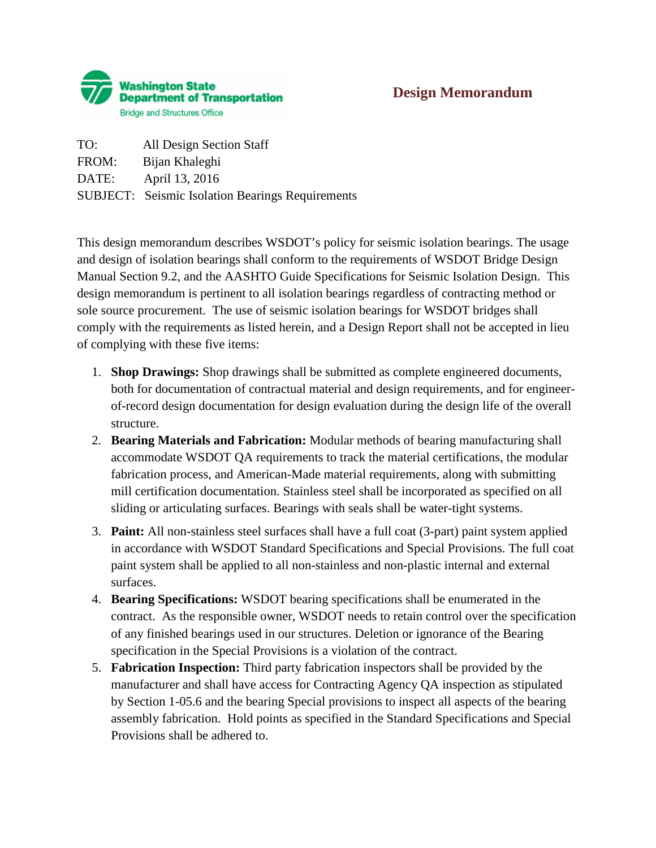

## **Design Memorandum**

TO: All Design Section Staff FROM: Bijan Khaleghi DATE: April 13, 2016 SUBJECT: Seismic Isolation Bearings Requirements

This design memorandum describes WSDOT's policy for seismic isolation bearings. The usage and design of isolation bearings shall conform to the requirements of WSDOT Bridge Design Manual Section 9.2, and the AASHTO Guide Specifications for Seismic Isolation Design. This design memorandum is pertinent to all isolation bearings regardless of contracting method or sole source procurement. The use of seismic isolation bearings for WSDOT bridges shall comply with the requirements as listed herein, and a Design Report shall not be accepted in lieu of complying with these five items:

- 1. **Shop Drawings:** Shop drawings shall be submitted as complete engineered documents, both for documentation of contractual material and design requirements, and for engineerof-record design documentation for design evaluation during the design life of the overall structure.
- 2. **Bearing Materials and Fabrication:** Modular methods of bearing manufacturing shall accommodate WSDOT QA requirements to track the material certifications, the modular fabrication process, and American-Made material requirements, along with submitting mill certification documentation. Stainless steel shall be incorporated as specified on all sliding or articulating surfaces. Bearings with seals shall be water-tight systems.
- 3. **Paint:** All non-stainless steel surfaces shall have a full coat (3-part) paint system applied in accordance with WSDOT Standard Specifications and Special Provisions. The full coat paint system shall be applied to all non-stainless and non-plastic internal and external surfaces.
- 4. **Bearing Specifications:** WSDOT bearing specifications shall be enumerated in the contract. As the responsible owner, WSDOT needs to retain control over the specification of any finished bearings used in our structures. Deletion or ignorance of the Bearing specification in the Special Provisions is a violation of the contract.
- 5. **Fabrication Inspection:** Third party fabrication inspectors shall be provided by the manufacturer and shall have access for Contracting Agency QA inspection as stipulated by Section 1-05.6 and the bearing Special provisions to inspect all aspects of the bearing assembly fabrication. Hold points as specified in the Standard Specifications and Special Provisions shall be adhered to.